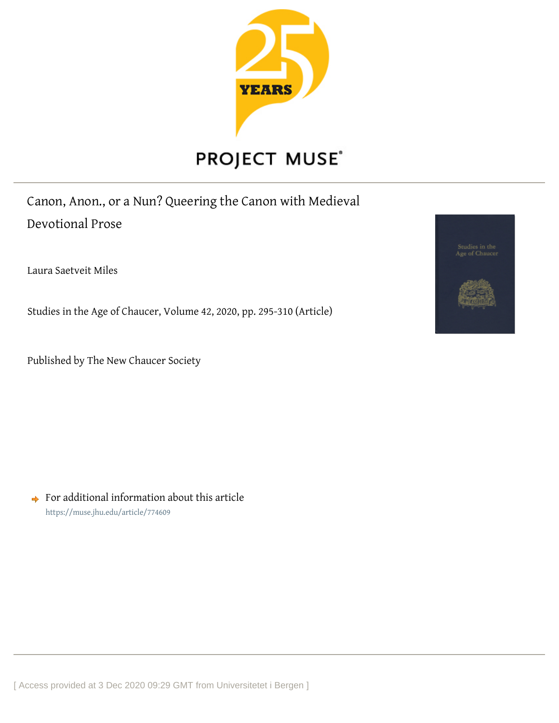

# PROJECT MUSE®

Canon, Anon., or a Nun? Queering the Canon with Medieval Devotional Prose

Laura Saetveit Miles

Studies in the Age of Chaucer, Volume 42, 2020, pp. 295-310 (Article)

Published by The New Chaucer Society

Studies in the<br>Age of Chaucer

 $\rightarrow$  For additional information about this article <https://muse.jhu.edu/article/774609>

[ Access provided at 3 Dec 2020 09:29 GMT from Universitetet i Bergen ]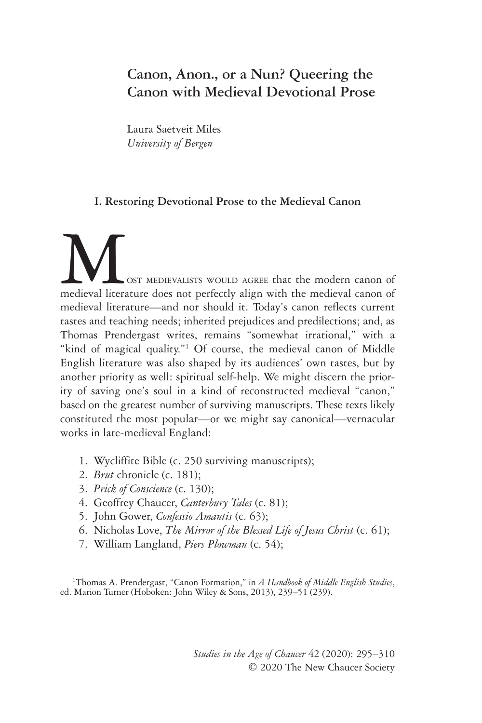# **Canon, Anon., or a Nun? Queering the Canon with Medieval Devotional Prose**

Laura Saetveit Miles *University of Bergen*

## **I. Restoring Devotional Prose to the Medieval Canon**

**MUST MEDIEVALISTS WOULD AGREE that the modern canon of medieval literature does not perfectly align with the medieval canon of** medieval literature—and nor should it. Today's canon reflects current tastes and teaching needs; inherited prejudices and predilections; and, as Thomas Prendergast writes, remains "somewhat irrational," with a "kind of magical quality."<sup>1</sup> Of course, the medieval canon of Middle English literature was also shaped by its audiences' own tastes, but by another priority as well: spiritual self-help. We might discern the priority of saving one's soul in a kind of reconstructed medieval "canon," based on the greatest number of surviving manuscripts. These texts likely constituted the most popular—or we might say canonical—vernacular works in late-medieval England:

- 1. Wycliffite Bible (c. 250 surviving manuscripts);
- 2. *Brut* chronicle (c. 181);
- 3. *Prick of Conscience* (c. 130);
- 4. Geoffrey Chaucer, *Canterbury Tales* (c. 81);
- 5. John Gower, *Confessio Amantis* (c. 63);
- 6. Nicholas Love, *The Mirror of the Blessed Life of Jesus Christ* (c. 61);
- 7. William Langland, *Piers Plowman* (c. 54);

<sup>1</sup>Thomas A. Prendergast, "Canon Formation," in *A Handbook of Middle English Studies*, ed. Marion Turner (Hoboken: John Wiley & Sons, 2013), 239–51 (239).

> *Studies in the Age of Chaucer* 42 (2020): 295–310 © 2020 The New Chaucer Society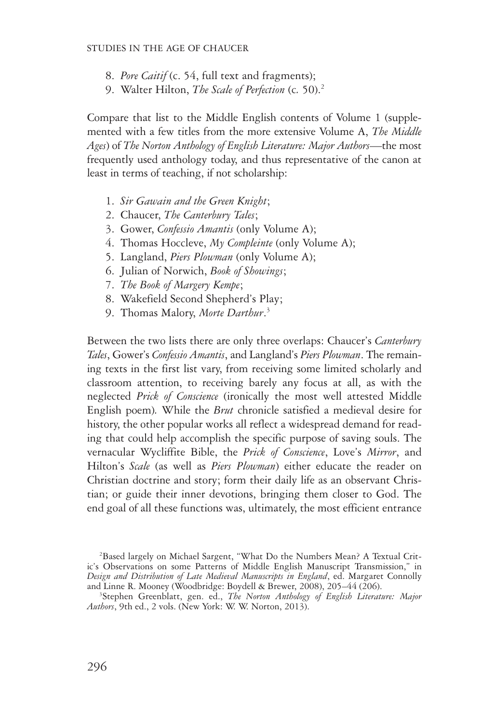- 8. *Pore Caitif* (c. 54, full text and fragments);
- 9. Walter Hilton, *The Scale of Perfection* (c*.* 50).2

Compare that list to the Middle English contents of Volume 1 (supplemented with a few titles from the more extensive Volume A, *The Middle Ages*) of *The Norton Anthology of English Literature: Major Authors*—the most frequently used anthology today, and thus representative of the canon at least in terms of teaching, if not scholarship:

- 1. *Sir Gawain and the Green Knight*;
- 2. Chaucer, *The Canterbury Tales*;
- 3. Gower, *Confessio Amantis* (only Volume A);
- 4. Thomas Hoccleve, *My Compleinte* (only Volume A);
- 5. Langland, *Piers Plowman* (only Volume A);
- 6. Julian of Norwich, *Book of Showings*;
- 7. *The Book of Margery Kempe*;
- 8. Wakefield Second Shepherd's Play;
- 9. Thomas Malory, *Morte Darthur*. 3

Between the two lists there are only three overlaps: Chaucer's *Canterbury Tales*, Gower's *Confessio Amantis*, and Langland's *Piers Plowman*. The remaining texts in the first list vary, from receiving some limited scholarly and classroom attention, to receiving barely any focus at all, as with the neglected *Prick of Conscience* (ironically the most well attested Middle English poem)*.* While the *Brut* chronicle satisfied a medieval desire for history, the other popular works all reflect a widespread demand for reading that could help accomplish the specific purpose of saving souls. The vernacular Wycliffite Bible, the *Prick of Conscience*, Love's *Mirror*, and Hilton's *Scale* (as well as *Piers Plowman*) either educate the reader on Christian doctrine and story; form their daily life as an observant Christian; or guide their inner devotions, bringing them closer to God. The end goal of all these functions was, ultimately, the most efficient entrance

2 Based largely on Michael Sargent, "What Do the Numbers Mean? A Textual Critic's Observations on some Patterns of Middle English Manuscript Transmission," in *Design and Distribution of Late Medieval Manuscripts in England*, ed. Margaret Connolly and Linne R. Mooney (Woodbridge: Boydell & Brewer, 2008), 205-44 (206).

Stephen Greenblatt, gen. ed., *The Norton Anthology of English Literature: Major Authors*, 9th ed., 2 vols. (New York: W. W. Norton, 2013).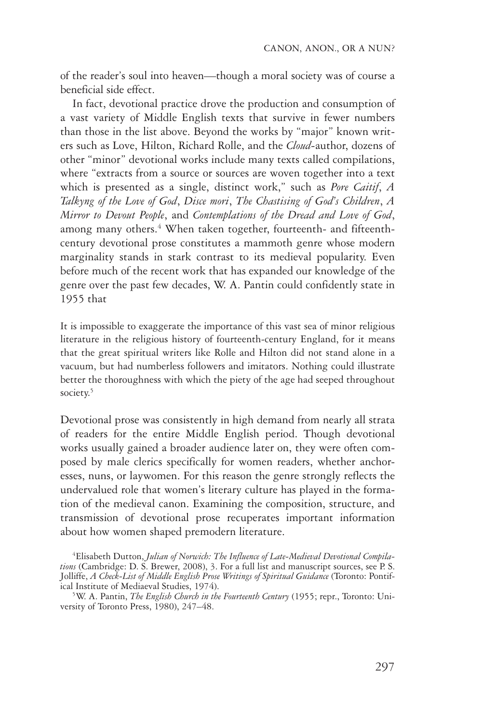of the reader's soul into heaven—though a moral society was of course a beneficial side effect.

In fact, devotional practice drove the production and consumption of a vast variety of Middle English texts that survive in fewer numbers than those in the list above. Beyond the works by "major" known writers such as Love, Hilton, Richard Rolle, and the *Cloud-*author, dozens of other "minor" devotional works include many texts called compilations, where "extracts from a source or sources are woven together into a text which is presented as a single, distinct work," such as *Pore Caitif*, *A Talkyng of the Love of God*, *Disce mori*, *The Chastising of God's Children*, *A Mirror to Devout People*, and *Contemplations of the Dread and Love of God*, among many others.<sup>4</sup> When taken together, fourteenth- and fifteenthcentury devotional prose constitutes a mammoth genre whose modern marginality stands in stark contrast to its medieval popularity. Even before much of the recent work that has expanded our knowledge of the genre over the past few decades, W. A. Pantin could confidently state in 1955 that

It is impossible to exaggerate the importance of this vast sea of minor religious literature in the religious history of fourteenth-century England, for it means that the great spiritual writers like Rolle and Hilton did not stand alone in a vacuum, but had numberless followers and imitators. Nothing could illustrate better the thoroughness with which the piety of the age had seeped throughout society.<sup>5</sup>

Devotional prose was consistently in high demand from nearly all strata of readers for the entire Middle English period. Though devotional works usually gained a broader audience later on, they were often composed by male clerics specifically for women readers, whether anchoresses, nuns, or laywomen. For this reason the genre strongly reflects the undervalued role that women's literary culture has played in the formation of the medieval canon. Examining the composition, structure, and transmission of devotional prose recuperates important information about how women shaped premodern literature.

4 Elisabeth Dutton, *Julian of Norwich: The Influence of Late-Medieval Devotional Compilations* (Cambridge: D. S. Brewer, 2008), 3. For a full list and manuscript sources, see P. S. Jolliffe, *A Check-List of Middle English Prose Writings of Spiritual Guidance* (Toronto: Pontifical Institute of Mediaeval Studies, 1974).

W. A. Pantin, *The English Church in the Fourteenth Century* (1955; repr., Toronto: University of Toronto Press, 1980), 247–48.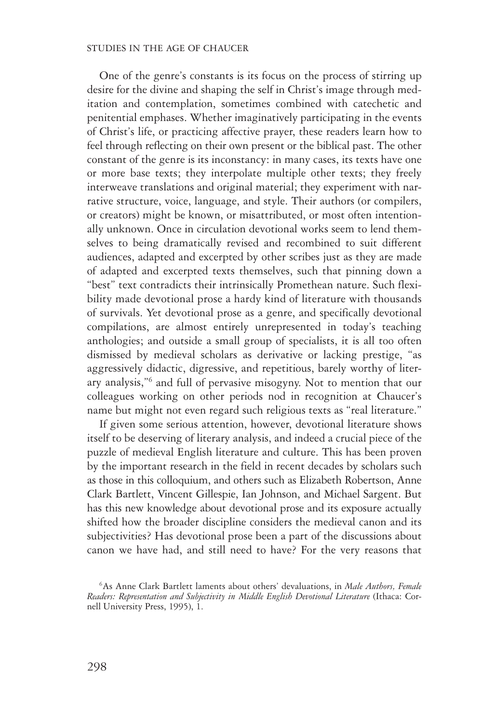#### STUDIES IN THE AGE OF CHAUCER

One of the genre's constants is its focus on the process of stirring up desire for the divine and shaping the self in Christ's image through meditation and contemplation, sometimes combined with catechetic and penitential emphases. Whether imaginatively participating in the events of Christ's life, or practicing affective prayer, these readers learn how to feel through reflecting on their own present or the biblical past. The other constant of the genre is its inconstancy: in many cases, its texts have one or more base texts; they interpolate multiple other texts; they freely interweave translations and original material; they experiment with narrative structure, voice, language, and style. Their authors (or compilers, or creators) might be known, or misattributed, or most often intentionally unknown. Once in circulation devotional works seem to lend themselves to being dramatically revised and recombined to suit different audiences, adapted and excerpted by other scribes just as they are made of adapted and excerpted texts themselves, such that pinning down a "best" text contradicts their intrinsically Promethean nature. Such flexibility made devotional prose a hardy kind of literature with thousands of survivals. Yet devotional prose as a genre, and specifically devotional compilations, are almost entirely unrepresented in today's teaching anthologies; and outside a small group of specialists, it is all too often dismissed by medieval scholars as derivative or lacking prestige, "as aggressively didactic, digressive, and repetitious, barely worthy of literary analysis,"6 and full of pervasive misogyny. Not to mention that our colleagues working on other periods nod in recognition at Chaucer's name but might not even regard such religious texts as "real literature."

If given some serious attention, however, devotional literature shows itself to be deserving of literary analysis, and indeed a crucial piece of the puzzle of medieval English literature and culture. This has been proven by the important research in the field in recent decades by scholars such as those in this colloquium, and others such as Elizabeth Robertson, Anne Clark Bartlett, Vincent Gillespie, Ian Johnson, and Michael Sargent. But has this new knowledge about devotional prose and its exposure actually shifted how the broader discipline considers the medieval canon and its subjectivities? Has devotional prose been a part of the discussions about canon we have had, and still need to have? For the very reasons that

<sup>6</sup> As Anne Clark Bartlett laments about others' devaluations, in *Male Authors, Female*  Readers: Representation and Subjectivity in Middle English Devotional Literature (Ithaca: Cornell University Press, 1995), 1.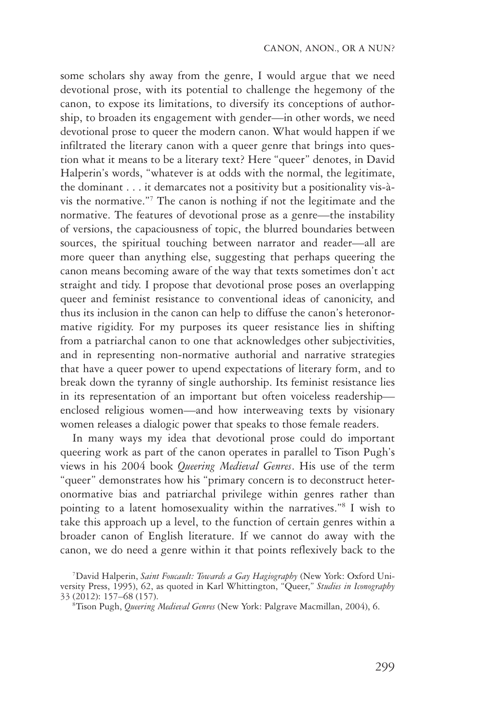some scholars shy away from the genre, I would argue that we need devotional prose, with its potential to challenge the hegemony of the canon, to expose its limitations, to diversify its conceptions of authorship, to broaden its engagement with gender—in other words, we need devotional prose to queer the modern canon. What would happen if we infiltrated the literary canon with a queer genre that brings into question what it means to be a literary text? Here "queer" denotes, in David Halperin's words, "whatever is at odds with the normal, the legitimate, the dominant . . . it demarcates not a positivity but a positionality vis-à-vis the normative."7 The canon is nothing if not the legitimate and the normative. The features of devotional prose as a genre—the instability of versions, the capaciousness of topic, the blurred boundaries between sources, the spiritual touching between narrator and reader—all are more queer than anything else, suggesting that perhaps queering the canon means becoming aware of the way that texts sometimes don't act straight and tidy. I propose that devotional prose poses an overlapping queer and feminist resistance to conventional ideas of canonicity, and thus its inclusion in the canon can help to diffuse the canon's heteronormative rigidity. For my purposes its queer resistance lies in shifting from a patriarchal canon to one that acknowledges other subjectivities, and in representing non-normative authorial and narrative strategies that have a queer power to upend expectations of literary form, and to break down the tyranny of single authorship. Its feminist resistance lies in its representation of an important but often voiceless readership enclosed religious women—and how interweaving texts by visionary women releases a dialogic power that speaks to those female readers.

In many ways my idea that devotional prose could do important queering work as part of the canon operates in parallel to Tison Pugh's views in his 2004 book *Queering Medieval Genres*. His use of the term "queer" demonstrates how his "primary concern is to deconstruct heteronormative bias and patriarchal privilege within genres rather than pointing to a latent homosexuality within the narratives."8 I wish to take this approach up a level, to the function of certain genres within a broader canon of English literature. If we cannot do away with the canon, we do need a genre within it that points reflexively back to the

<sup>7</sup> David Halperin, *Saint Foucault: Towards a Gay Hagiography* (New York: Oxford University Press, 1995), 62, as quoted in Karl Whittington, "Queer," *Studies in Iconography* 33 (2012): 157–68 (157). 8

Tison Pugh, *Queering Medieval Genres* (New York: Palgrave Macmillan, 2004), 6.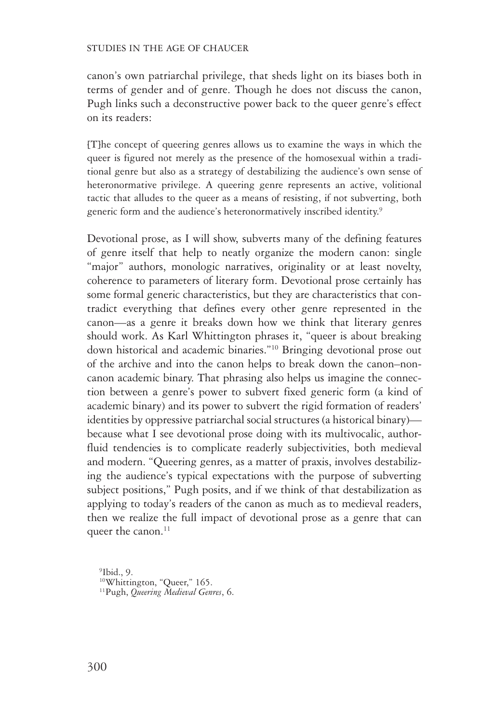#### STUDIES IN THE AGE OF CHAUCER

canon's own patriarchal privilege, that sheds light on its biases both in terms of gender and of genre. Though he does not discuss the canon, Pugh links such a deconstructive power back to the queer genre's effect on its readers:

[T]he concept of queering genres allows us to examine the ways in which the queer is figured not merely as the presence of the homosexual within a traditional genre but also as a strategy of destabilizing the audience's own sense of heteronormative privilege. A queering genre represents an active, volitional tactic that alludes to the queer as a means of resisting, if not subverting, both generic form and the audience's heteronormatively inscribed identity.<sup>9</sup>

Devotional prose, as I will show, subverts many of the defining features of genre itself that help to neatly organize the modern canon: single "major" authors, monologic narratives, originality or at least novelty, coherence to parameters of literary form. Devotional prose certainly has some formal generic characteristics, but they are characteristics that contradict everything that defines every other genre represented in the canon—as a genre it breaks down how we think that literary genres should work. As Karl Whittington phrases it, "queer is about breaking down historical and academic binaries."10 Bringing devotional prose out of the archive and into the canon helps to break down the canon–non-canon academic binary. That phrasing also helps us imagine the connection between a genre's power to subvert fixed generic form (a kind of academic binary) and its power to subvert the rigid formation of readers' identities by oppressive patriarchal social structures (a historical binary) because what I see devotional prose doing with its multivocalic, author-fluid tendencies is to complicate readerly subjectivities, both medieval and modern. "Queering genres, as a matter of praxis, involves destabilizing the audience's typical expectations with the purpose of subverting subject positions," Pugh posits, and if we think of that destabilization as applying to today's readers of the canon as much as to medieval readers, then we realize the full impact of devotional prose as a genre that can queer the canon.<sup>11</sup>

 $9$ Ibid., 9. <sup>10</sup>Whittington, "Queer," 165. 11Pugh, *Queering Medieval Genres*, 6.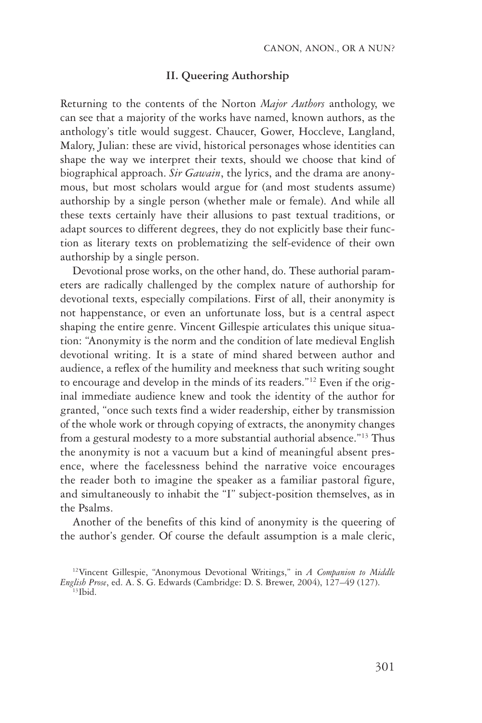## **II. Queering Authorship**

Returning to the contents of the Norton *Major Authors* anthology, we can see that a majority of the works have named, known authors, as the anthology's title would suggest. Chaucer, Gower, Hoccleve, Langland, Malory, Julian: these are vivid, historical personages whose identities can shape the way we interpret their texts, should we choose that kind of biographical approach. *Sir Gawain*, the lyrics, and the drama are anonymous, but most scholars would argue for (and most students assume) authorship by a single person (whether male or female). And while all these texts certainly have their allusions to past textual traditions, or adapt sources to different degrees, they do not explicitly base their function as literary texts on problematizing the self-evidence of their own authorship by a single person.

Devotional prose works, on the other hand, do. These authorial parameters are radically challenged by the complex nature of authorship for devotional texts, especially compilations. First of all, their anonymity is not happenstance, or even an unfortunate loss, but is a central aspect shaping the entire genre. Vincent Gillespie articulates this unique situation: "Anonymity is the norm and the condition of late medieval English devotional writing. It is a state of mind shared between author and audience, a reflex of the humility and meekness that such writing sought to encourage and develop in the minds of its readers."12 Even if the original immediate audience knew and took the identity of the author for granted, "once such texts find a wider readership, either by transmission of the whole work or through copying of extracts, the anonymity changes from a gestural modesty to a more substantial authorial absence."13 Thus the anonymity is not a vacuum but a kind of meaningful absent presence, where the facelessness behind the narrative voice encourages the reader both to imagine the speaker as a familiar pastoral figure, and simultaneously to inhabit the "I" subject-position themselves, as in the Psalms.

Another of the benefits of this kind of anonymity is the queering of the author's gender. Of course the default assumption is a male cleric,

<sup>12</sup>Vincent Gillespie, "Anonymous Devotional Writings," in *A Companion to Middle English Prose*, ed. A. S. G. Edwards (Cambridge: D. S. Brewer, 2004), 127–49 (127).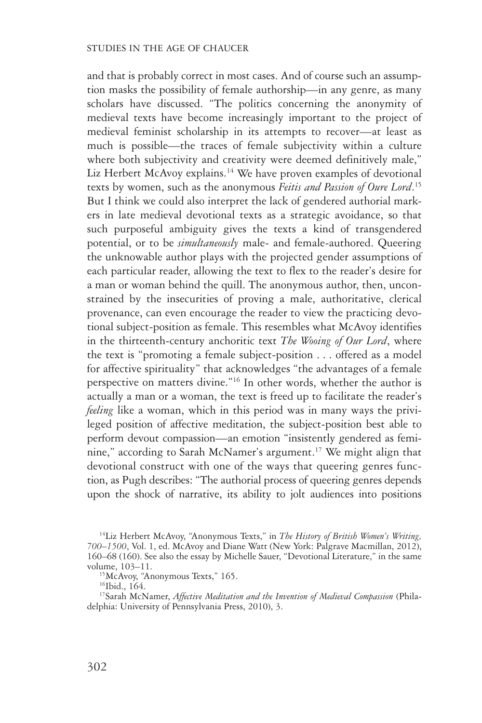and that is probably correct in most cases. And of course such an assumption masks the possibility of female authorship—in any genre, as many scholars have discussed. "The politics concerning the anonymity of medieval texts have become increasingly important to the project of medieval feminist scholarship in its attempts to recover—at least as much is possible—the traces of female subjectivity within a culture where both subjectivity and creativity were deemed definitively male," Liz Herbert McAvoy explains.<sup>14</sup> We have proven examples of devotional texts by women, such as the anonymous *Feitis and Passion of Oure Lord*. 15 But I think we could also interpret the lack of gendered authorial markers in late medieval devotional texts as a strategic avoidance, so that such purposeful ambiguity gives the texts a kind of transgendered potential, or to be *simultaneously* male- and female-authored. Queering the unknowable author plays with the projected gender assumptions of each particular reader, allowing the text to flex to the reader's desire for a man or woman behind the quill. The anonymous author, then, unconstrained by the insecurities of proving a male, authoritative, clerical provenance, can even encourage the reader to view the practicing devotional subject-position as female. This resembles what McAvoy identifies in the thirteenth-century anchoritic text *The Wooing of Our Lord*, where the text is "promoting a female subject-position . . . offered as a model for affective spirituality" that acknowledges "the advantages of a female perspective on matters divine."16 In other words, whether the author is actually a man or a woman, the text is freed up to facilitate the reader's *feeling* like a woman, which in this period was in many ways the privileged position of affective meditation, the subject-position best able to perform devout compassion—an emotion "insistently gendered as feminine," according to Sarah McNamer's argument.17 We might align that devotional construct with one of the ways that queering genres function, as Pugh describes: "The authorial process of queering genres depends upon the shock of narrative, its ability to jolt audiences into positions

<sup>14</sup>Liz Herbert McAvoy, "Anonymous Texts," in *The History of British Women's Writing, 700–1500*, Vol. 1, ed. McAvoy and Diane Watt (New York: Palgrave Macmillan, 2012), 160–68 (160). See also the essay by Michelle Sauer, "Devotional Literature," in the same volume, 103–11.<br><sup>15</sup>McAvoy, "Anonymous Texts," 165.

 $16$ Ibid.,  $164$ .

<sup>&</sup>lt;sup>17</sup>Sarah McNamer, *Affective Meditation and the Invention of Medieval Compassion* (Philadelphia: University of Pennsylvania Press, 2010), 3.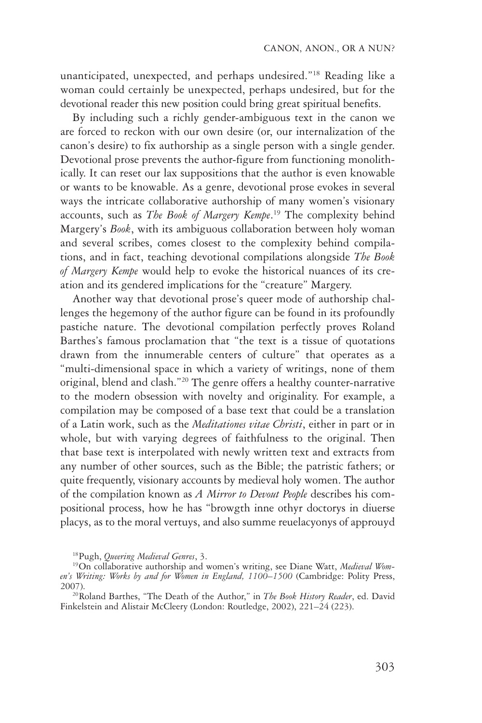unanticipated, unexpected, and perhaps undesired."18 Reading like a woman could certainly be unexpected, perhaps undesired, but for the devotional reader this new position could bring great spiritual benefits.

By including such a richly gender-ambiguous text in the canon we are forced to reckon with our own desire (or, our internalization of the canon's desire) to fix authorship as a single person with a single gender. Devotional prose prevents the author-figure from functioning monolithically. It can reset our lax suppositions that the author is even knowable or wants to be knowable. As a genre, devotional prose evokes in several ways the intricate collaborative authorship of many women's visionary accounts, such as *The Book of Margery Kempe*. 19 The complexity behind Margery's *Book*, with its ambiguous collaboration between holy woman and several scribes, comes closest to the complexity behind compilations, and in fact, teaching devotional compilations alongside *The Book of Margery Kempe* would help to evoke the historical nuances of its creation and its gendered implications for the "creature" Margery.

Another way that devotional prose's queer mode of authorship challenges the hegemony of the author figure can be found in its profoundly pastiche nature. The devotional compilation perfectly proves Roland Barthes's famous proclamation that "the text is a tissue of quotations drawn from the innumerable centers of culture" that operates as a "multi-dimensional space in which a variety of writings, none of them original, blend and clash."20 The genre offers a healthy counter-narrative to the modern obsession with novelty and originality. For example, a compilation may be composed of a base text that could be a translation of a Latin work, such as the *Meditationes vitae Christi*, either in part or in whole, but with varying degrees of faithfulness to the original. Then that base text is interpolated with newly written text and extracts from any number of other sources, such as the Bible; the patristic fathers; or quite frequently, visionary accounts by medieval holy women. The author of the compilation known as *A Mirror to Devout People* describes his compositional process, how he has "browgth inne othyr doctorys in diuerse placys, as to the moral vertuys, and also summe reuelacyonys of approuyd

<sup>&</sup>lt;sup>18</sup>Pugh, *Queering Medieval Genres*, 3.<br><sup>19</sup>On collaborative authorship and women's writing, see Diane Watt, *Medieval Women's Writing: Works by and for Women in England, 1100–1500* (Cambridge: Polity Press, 2007). 20Roland Barthes, "The Death of the Author," in *The Book History Reader*, ed. David

Finkelstein and Alistair McCleery (London: Routledge, 2002), 221–24 (223).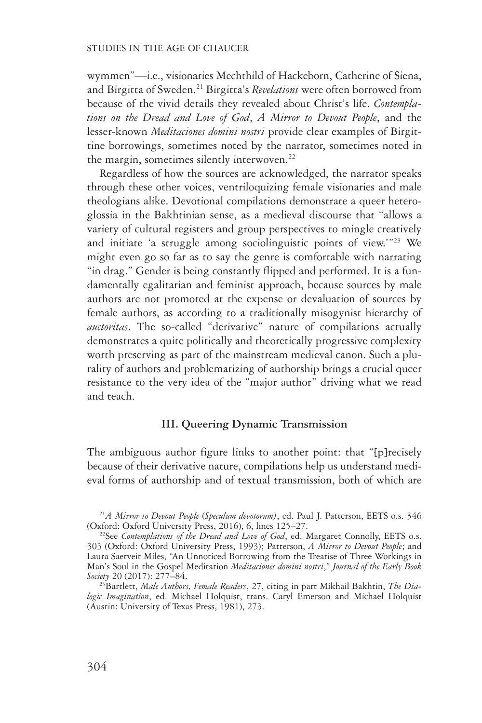wymmen"—i.e., visionaries Mechthild of Hackeborn, Catherine of Siena, and Birgitta of Sweden.21 Birgitta's *Revelations* were often borrowed from because of the vivid details they revealed about Christ's life. *Contemplations on the Dread and Love of God*, *A Mirror to Devout People*, and the lesser-known *Meditaciones domini nostri* provide clear examples of Birgittine borrowings, sometimes noted by the narrator, sometimes noted in the margin, sometimes silently interwoven.<sup>22</sup>

Regardless of how the sources are acknowledged, the narrator speaks through these other voices, ventriloquizing female visionaries and male theologians alike. Devotional compilations demonstrate a queer heteroglossia in the Bakhtinian sense, as a medieval discourse that "allows a variety of cultural registers and group perspectives to mingle creatively and initiate 'a struggle among sociolinguistic points of view.'"23 We might even go so far as to say the genre is comfortable with narrating "in drag." Gender is being constantly flipped and performed. It is a fundamentally egalitarian and feminist approach, because sources by male authors are not promoted at the expense or devaluation of sources by female authors, as according to a traditionally misogynist hierarchy of *auctoritas*. The so-called "derivative" nature of compilations actually demonstrates a quite politically and theoretically progressive complexity worth preserving as part of the mainstream medieval canon. Such a plurality of authors and problematizing of authorship brings a crucial queer resistance to the very idea of the "major author" driving what we read and teach.

#### **III. Queering Dynamic Transmission**

The ambiguous author figure links to another point: that "[p]recisely because of their derivative nature, compilations help us understand medieval forms of authorship and of textual transmission, both of which are

<sup>&</sup>lt;sup>21</sup>*A Mirror to Devout People (Speculum devotorum)*, ed. Paul J. Patterson, EETS o.s. 346 (Oxford: Oxford University Press, 2016), 6, lines 125–27.

<sup>&</sup>lt;sup>22</sup>See *Contemplations of the Dread and Love of God*, ed. Margaret Connolly, EETS o.s. 303 (Oxford: Oxford University Press, 1993); Patterson, *A Mirror to Devout People*; and Laura Saetveit Miles, "An Unnoticed Borrowing from the Treatise of Three Workings in Man's Soul in the Gospel Meditation *Meditaciones domini nostri*," *Journal of the Early Book Society* 20 (2017): 277–84. 23Bartlett, *Male Authors, Female Readers*, 27, citing in part Mikhail Bakhtin, *The Dia-*

*logic Imagination*, ed. Michael Holquist, trans. Caryl Emerson and Michael Holquist (Austin: University of Texas Press, 1981), 273.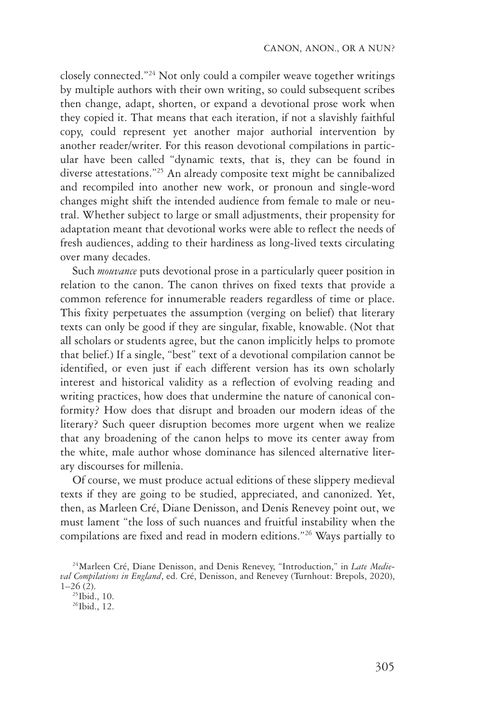closely connected."24 Not only could a compiler weave together writings by multiple authors with their own writing, so could subsequent scribes then change, adapt, shorten, or expand a devotional prose work when they copied it. That means that each iteration, if not a slavishly faithful copy, could represent yet another major authorial intervention by another reader/writer. For this reason devotional compilations in particular have been called "dynamic texts, that is, they can be found in diverse attestations."25 An already composite text might be cannibalized and recompiled into another new work, or pronoun and single-word changes might shift the intended audience from female to male or neutral. Whether subject to large or small adjustments, their propensity for adaptation meant that devotional works were able to reflect the needs of fresh audiences, adding to their hardiness as long-lived texts circulating over many decades.

Such *mouvance* puts devotional prose in a particularly queer position in relation to the canon. The canon thrives on fixed texts that provide a common reference for innumerable readers regardless of time or place. This fixity perpetuates the assumption (verging on belief) that literary texts can only be good if they are singular, fixable, knowable. (Not that all scholars or students agree, but the canon implicitly helps to promote that belief.) If a single, "best" text of a devotional compilation cannot be identified, or even just if each different version has its own scholarly interest and historical validity as a reflection of evolving reading and writing practices, how does that undermine the nature of canonical conformity? How does that disrupt and broaden our modern ideas of the literary? Such queer disruption becomes more urgent when we realize that any broadening of the canon helps to move its center away from the white, male author whose dominance has silenced alternative literary discourses for millenia.

Of course, we must produce actual editions of these slippery medieval texts if they are going to be studied, appreciated, and canonized. Yet, then, as Marleen Cré, Diane Denisson, and Denis Renevey point out, we must lament "the loss of such nuances and fruitful instability when the compilations are fixed and read in modern editions."26 Ways partially to

<sup>24</sup>Marleen Cré, Diane Denisson, and Denis Renevey, "Introduction," in *Late Medieval Compilations in England*, ed. Cré, Denisson, and Renevey (Turnhout: Brepols, 2020),  $1-26$  (2).<br><sup>25</sup>Ibid., 10.

 $26$ Ibid., 12.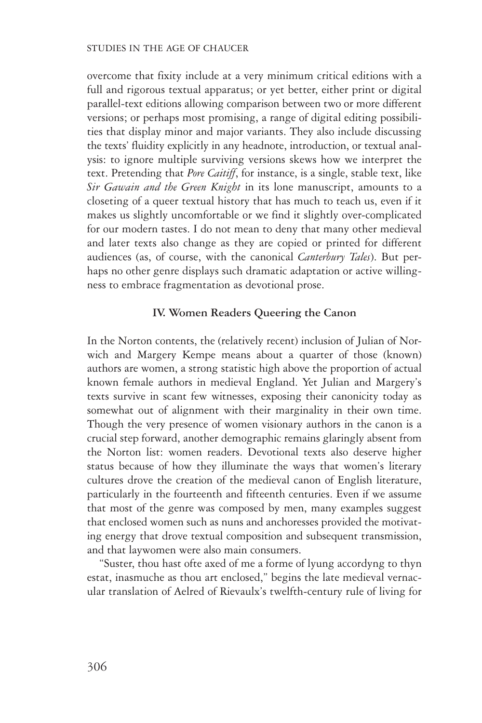overcome that fixity include at a very minimum critical editions with a full and rigorous textual apparatus; or yet better, either print or digital parallel-text editions allowing comparison between two or more different versions; or perhaps most promising, a range of digital editing possibilities that display minor and major variants. They also include discussing the texts' fluidity explicitly in any headnote, introduction, or textual analysis: to ignore multiple surviving versions skews how we interpret the text. Pretending that *Pore Caitiff*, for instance, is a single, stable text, like *Sir Gawain and the Green Knight* in its lone manuscript, amounts to a closeting of a queer textual history that has much to teach us, even if it makes us slightly uncomfortable or we find it slightly over-complicated for our modern tastes. I do not mean to deny that many other medieval and later texts also change as they are copied or printed for different audiences (as, of course, with the canonical *Canterbury Tales*). But perhaps no other genre displays such dramatic adaptation or active willingness to embrace fragmentation as devotional prose.

# **IV. Women Readers Queering the Canon**

In the Norton contents, the (relatively recent) inclusion of Julian of Norwich and Margery Kempe means about a quarter of those (known) authors are women, a strong statistic high above the proportion of actual known female authors in medieval England. Yet Julian and Margery's texts survive in scant few witnesses, exposing their canonicity today as somewhat out of alignment with their marginality in their own time. Though the very presence of women visionary authors in the canon is a crucial step forward, another demographic remains glaringly absent from the Norton list: women readers. Devotional texts also deserve higher status because of how they illuminate the ways that women's literary cultures drove the creation of the medieval canon of English literature, particularly in the fourteenth and fifteenth centuries. Even if we assume that most of the genre was composed by men, many examples suggest that enclosed women such as nuns and anchoresses provided the motivating energy that drove textual composition and subsequent transmission, and that laywomen were also main consumers.

"Suster, thou hast ofte axed of me a forme of lyung accordyng to thyn estat, inasmuche as thou art enclosed," begins the late medieval vernacular translation of Aelred of Rievaulx's twelfth-century rule of living for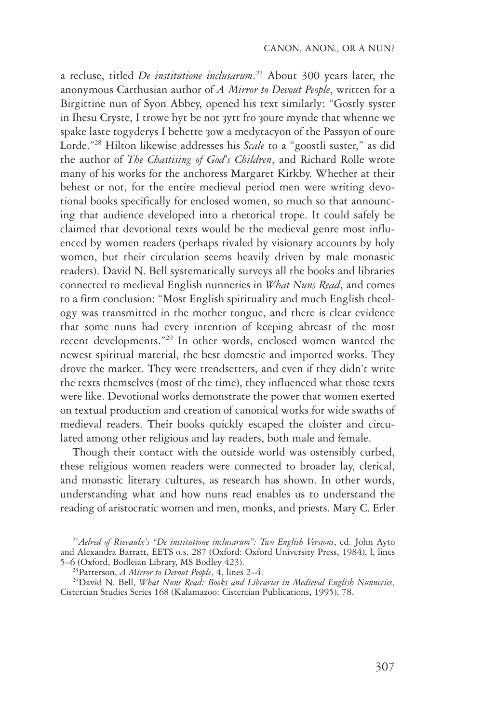a recluse, titled *De institutione inclusarum*. 27 About 300 years later, the anonymous Carthusian author of *A Mirror to Devout People*, written for a Birgittine nun of Syon Abbey, opened his text similarly: "Gostly syster in Ihesu Cryste, I trowe hyt be not 3ytt fro 30ure mynde that whenne we spake laste togyderys I behette 30w a medytacyon of the Passyon of oure Lorde."28 Hilton likewise addresses his *Scale* to a "goostli suster," as did the author of *The Chastising of God's Children*, and Richard Rolle wrote many of his works for the anchoress Margaret Kirkby. Whether at their behest or not, for the entire medieval period men were writing devotional books specifically for enclosed women, so much so that announcing that audience developed into a rhetorical trope. It could safely be claimed that devotional texts would be the medieval genre most influenced by women readers (perhaps rivaled by visionary accounts by holy women, but their circulation seems heavily driven by male monastic readers). David N. Bell systematically surveys all the books and libraries connected to medieval English nunneries in *What Nuns Read*, and comes to a firm conclusion: "Most English spirituality and much English theology was transmitted in the mother tongue, and there is clear evidence that some nuns had every intention of keeping abreast of the most recent developments."29 In other words, enclosed women wanted the newest spiritual material, the best domestic and imported works. They drove the market. They were trendsetters, and even if they didn't write the texts themselves (most of the time), they influenced what those texts were like. Devotional works demonstrate the power that women exerted on textual production and creation of canonical works for wide swaths of medieval readers. Their books quickly escaped the cloister and circulated among other religious and lay readers, both male and female.

Though their contact with the outside world was ostensibly curbed, these religious women readers were connected to broader lay, clerical, and monastic literary cultures, as research has shown. In other words, understanding what and how nuns read enables us to understand the reading of aristocratic women and men, monks, and priests. Mary C. Erler

<sup>27</sup>*Aelred of Rievaulx's "De institutione inclusarum": Two English Versions*, ed. John Ayto and Alexandra Barratt, EETS o.s. 287 (Oxford: Oxford University Press, 1984), l, lines

<sup>&</sup>lt;sup>28</sup> Patterson, *A Mirror to Devout People*, *A*, lines 2–4.<br><sup>29</sup> David N. Bell, *What Nuns Read: Books and Libraries in Medieval English Nunneries,* Cistercian Studies Series 168 (Kalamazoo: Cistercian Publications, 1995), 78.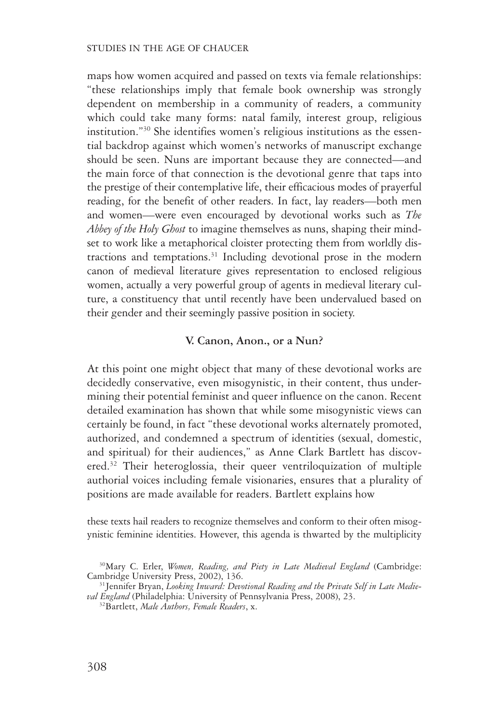maps how women acquired and passed on texts via female relationships: "these relationships imply that female book ownership was strongly dependent on membership in a community of readers, a community which could take many forms: natal family, interest group, religious institution."30 She identifies women's religious institutions as the essential backdrop against which women's networks of manuscript exchange should be seen. Nuns are important because they are connected—and the main force of that connection is the devotional genre that taps into the prestige of their contemplative life, their efficacious modes of prayerful reading, for the benefit of other readers. In fact, lay readers—both men and women—were even encouraged by devotional works such as *The Abbey of the Holy Ghost* to imagine themselves as nuns, shaping their mindset to work like a metaphorical cloister protecting them from worldly distractions and temptations. $31$  Including devotional prose in the modern canon of medieval literature gives representation to enclosed religious women, actually a very powerful group of agents in medieval literary culture, a constituency that until recently have been undervalued based on their gender and their seemingly passive position in society.

#### **V. Canon, Anon., or a Nun?**

At this point one might object that many of these devotional works are decidedly conservative, even misogynistic, in their content, thus undermining their potential feminist and queer influence on the canon. Recent detailed examination has shown that while some misogynistic views can certainly be found, in fact "these devotional works alternately promoted, authorized, and condemned a spectrum of identities (sexual, domestic, and spiritual) for their audiences," as Anne Clark Bartlett has discovered.<sup>32</sup> Their heteroglossia, their queer ventriloquization of multiple authorial voices including female visionaries, ensures that a plurality of positions are made available for readers. Bartlett explains how

these texts hail readers to recognize themselves and conform to their often misogynistic feminine identities. However, this agenda is thwarted by the multiplicity

<sup>30</sup>Mary C. Erler, *Women, Reading, and Piety in Late Medieval England* (Cambridge: Cambridge University Press, 2002), 136.<br><sup>31</sup>Jennifer Bryan, *Looking Inward: Devotional Reading and the Private Self in Late Medie-*

*val England* (Philadelphia: University of Pennsylvania Press, 2008), 23. 32Bartlett, *Male Authors, Female Readers*, x.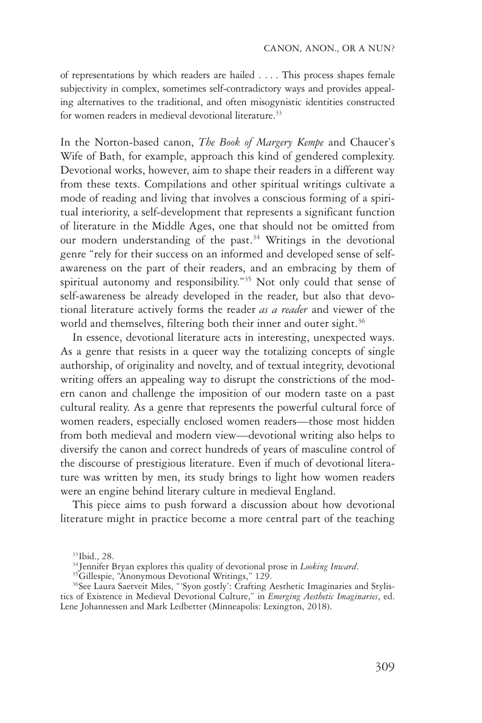of representations by which readers are hailed . . . . This process shapes female subjectivity in complex, sometimes self-contradictory ways and provides appealing alternatives to the traditional, and often misogynistic identities constructed for women readers in medieval devotional literature.<sup>33</sup>

In the Norton-based canon, *The Book of Margery Kempe* and Chaucer's Wife of Bath, for example, approach this kind of gendered complexity. Devotional works, however, aim to shape their readers in a different way from these texts. Compilations and other spiritual writings cultivate a mode of reading and living that involves a conscious forming of a spiritual interiority, a self-development that represents a significant function of literature in the Middle Ages, one that should not be omitted from our modern understanding of the past.<sup>34</sup> Writings in the devotional genre "rely for their success on an informed and developed sense of self-awareness on the part of their readers, and an embracing by them of spiritual autonomy and responsibility."35 Not only could that sense of self-awareness be already developed in the reader, but also that devotional literature actively forms the reader *as a reader* and viewer of the world and themselves, filtering both their inner and outer sight.<sup>36</sup>

In essence, devotional literature acts in interesting, unexpected ways. As a genre that resists in a queer way the totalizing concepts of single authorship, of originality and novelty, and of textual integrity, devotional writing offers an appealing way to disrupt the constrictions of the modern canon and challenge the imposition of our modern taste on a past cultural reality. As a genre that represents the powerful cultural force of women readers, especially enclosed women readers—those most hidden from both medieval and modern view—devotional writing also helps to diversify the canon and correct hundreds of years of masculine control of the discourse of prestigious literature. Even if much of devotional literature was written by men, its study brings to light how women readers were an engine behind literary culture in medieval England.

This piece aims to push forward a discussion about how devotional literature might in practice become a more central part of the teaching

<sup>33</sup>Ibid., 28.

<sup>&</sup>lt;sup>34</sup>Jennifer Bryan explores this quality of devotional prose in *Looking Inward*.<br><sup>35</sup>Gillespie, "Anonymous Devotional Writings," 129.

<sup>&</sup>lt;sup>36</sup>See Laura Saetveit Miles, "'Syon gostly': Crafting Aesthetic Imaginaries and Stylistics of Existence in Medieval Devotional Culture," in *Emerging Aesthetic Imaginaries*, ed. Lene Johannessen and Mark Ledbetter (Minneapolis: Lexington, 2018).